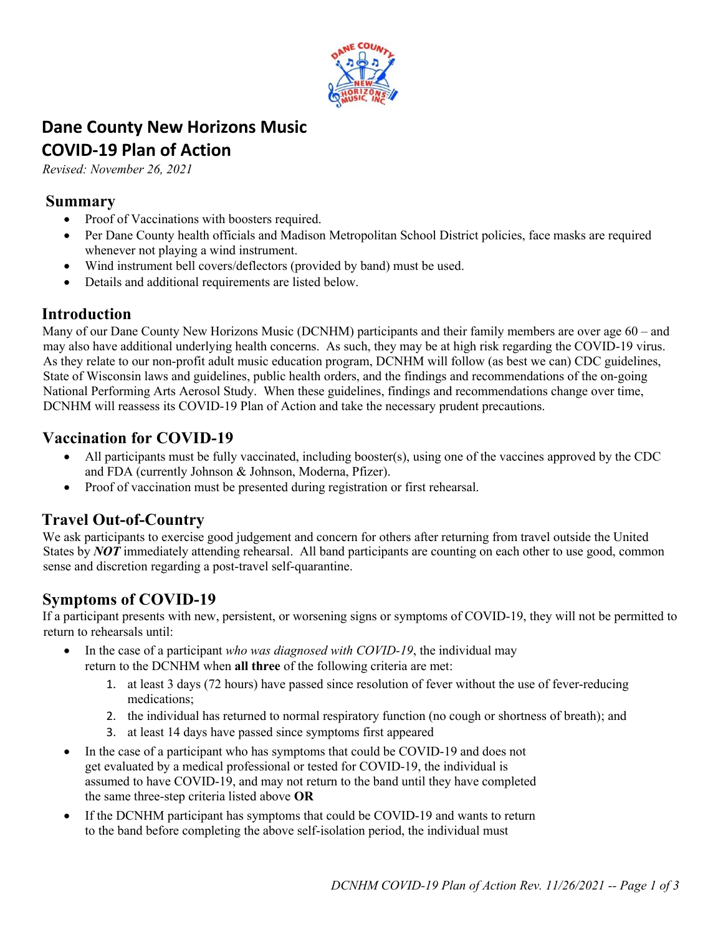

# **Dane County New Horizons Music COVID-19 Plan of Action**

*Revised: November 26, 2021* 

#### **Summary**

- Proof of Vaccinations with boosters required.
- Per Dane County health officials and Madison Metropolitan School District policies, face masks are required whenever not playing a wind instrument.
- Wind instrument bell covers/deflectors (provided by band) must be used.
- Details and additional requirements are listed below.

#### **Introduction**

Many of our Dane County New Horizons Music (DCNHM) participants and their family members are over age 60 – and may also have additional underlying health concerns. As such, they may be at high risk regarding the COVID-19 virus. As they relate to our non-profit adult music education program, DCNHM will follow (as best we can) CDC guidelines, State of Wisconsin laws and guidelines, public health orders, and the findings and recommendations of the on-going National Performing Arts Aerosol Study. When these guidelines, findings and recommendations change over time, DCNHM will reassess its COVID-19 Plan of Action and take the necessary prudent precautions.

### **Vaccination for COVID-19**

- All participants must be fully vaccinated, including booster(s), using one of the vaccines approved by the CDC and FDA (currently Johnson & Johnson, Moderna, Pfizer).
- Proof of vaccination must be presented during registration or first rehearsal.

### **Travel Out-of-Country**

We ask participants to exercise good judgement and concern for others after returning from travel outside the United States by *NOT* immediately attending rehearsal. All band participants are counting on each other to use good, common sense and discretion regarding a post-travel self-quarantine.

## **Symptoms of COVID-19**

If a participant presents with new, persistent, or worsening signs or symptoms of COVID-19, they will not be permitted to return to rehearsals until:

- In the case of a participant *who was diagnosed with COVID-19*, the individual may return to the DCNHM when **all three** of the following criteria are met:
	- 1. at least 3 days (72 hours) have passed since resolution of fever without the use of fever-reducing medications;
	- 2. the individual has returned to normal respiratory function (no cough or shortness of breath); and
	- 3. at least 14 days have passed since symptoms first appeared
- In the case of a participant who has symptoms that could be COVID-19 and does not get evaluated by a medical professional or tested for COVID-19, the individual is assumed to have COVID-19, and may not return to the band until they have completed the same three-step criteria listed above **OR**
- If the DCNHM participant has symptoms that could be COVID-19 and wants to return to the band before completing the above self-isolation period, the individual must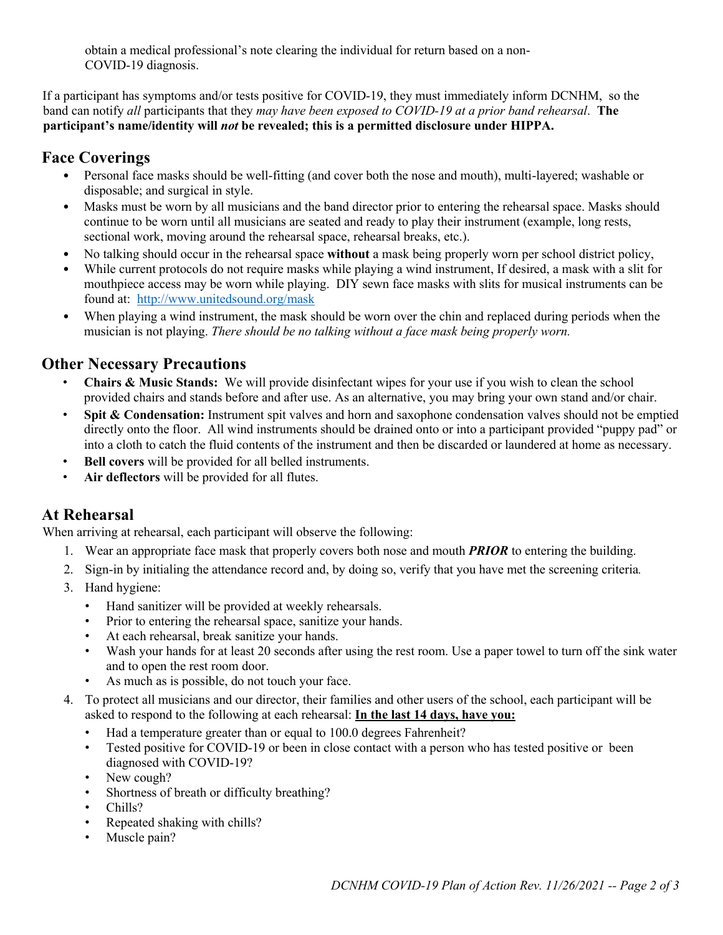obtain a medical professional's note clearing the individual for return based on a non-COVID-19 diagnosis.

If a participant has symptoms and/or tests positive for COVID-19, they must immediately inform DCNHM, so the band can notify *all* participants that they *may have been exposed to COVID-19 at a prior band rehearsal*. **The participant's name/identity will** *not* **be revealed; this is a permitted disclosure under HIPPA.** 

#### **Face Coverings**

- Personal face masks should be well-fitting (and cover both the nose and mouth), multi-layered; washable or disposable; and surgical in style.
- Masks must be worn by all musicians and the band director prior to entering the rehearsal space. Masks should continue to be worn until all musicians are seated and ready to play their instrument (example, long rests, sectional work, moving around the rehearsal space, rehearsal breaks, etc.).
- No talking should occur in the rehearsal space **without** a mask being properly worn per school district policy,
- While current protocols do not require masks while playing a wind instrument, If desired, a mask with a slit for mouthpiece access may be worn while playing. DIY sewn face masks with slits for musical instruments can be found at:http://www.unitedsound.org/mask
- When playing a wind instrument, the mask should be worn over the chin and replaced during periods when the musician is not playing. *There should be no talking without a face mask being properly worn.*

### **Other Necessary Precautions**

- **Chairs & Music Stands:** We will provide disinfectant wipes for your use if you wish to clean the school provided chairs and stands before and after use. As an alternative, you may bring your own stand and/or chair.
- **Spit & Condensation:** Instrument spit valves and horn and saxophone condensation valves should not be emptied directly onto the floor. All wind instruments should be drained onto or into a participant provided "puppy pad" or into a cloth to catch the fluid contents of the instrument and then be discarded or laundered at home as necessary.
- **Bell covers** will be provided for all belled instruments.
- **Air deflectors** will be provided for all flutes.

### **At Rehearsal**

When arriving at rehearsal, each participant will observe the following:

- 1. Wear an appropriate face mask that properly covers both nose and mouth *PRIOR* to entering the building.
- 2. Sign-in by initialing the attendance record and, by doing so, verify that you have met the screening criteria*.*
- 3. Hand hygiene:
	- Hand sanitizer will be provided at weekly rehearsals.
	- Prior to entering the rehearsal space, sanitize your hands.
	- At each rehearsal, break sanitize your hands.
	- Wash your hands for at least 20 seconds after using the rest room. Use a paper towel to turn off the sink water and to open the rest room door.
	- As much as is possible, do not touch your face.
- 4. To protect all musicians and our director, their families and other users of the school, each participant will be asked to respond to the following at each rehearsal: **In the last 14 days, have you:**
	- Had a temperature greater than or equal to 100.0 degrees Fahrenheit?
	- Tested positive for COVID-19 or been in close contact with a person who has tested positive or been diagnosed with COVID-19?
	- New cough?
	- Shortness of breath or difficulty breathing?
	- Chills?
	- Repeated shaking with chills?
	- Muscle pain?